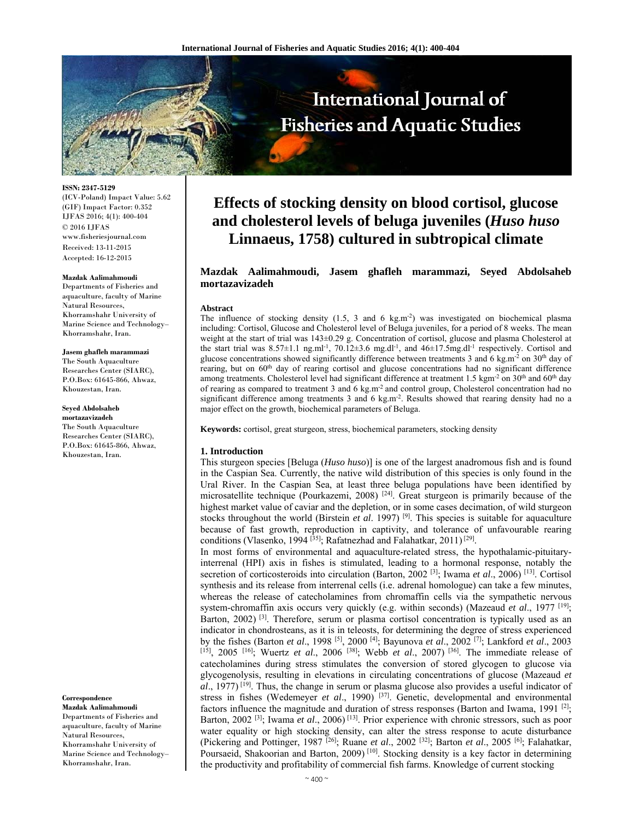

**ISSN: 2347-5129**  (ICV-Poland) Impact Value: 5.62 (GIF) Impact Factor: 0.352 IJFAS 2016; 4(1): 400-404 © 2016 IJFAS www.fisheriesjournal.com Received: 13-11-2015 Accepted: 16-12-2015

#### **Mazdak Aalimahmoudi**

Departments of Fisheries and aquaculture, faculty of Marine Natural Resources, Khorramshahr University of Marine Science and Technology– Khorramshahr, Iran.

**Jasem ghafleh marammazi**  The South Aquaculture Researches Center (SIARC), P.O.Box: 61645-866, Ahwaz, Khouzestan, Iran.

**Seyed Abdolsaheb mortazavizadeh**  The South Aquaculture Researches Center (SIARC), P.O.Box: 61645-866, Ahwaz, Khouzestan, Iran.

#### **Correspondence**

**Mazdak Aalimahmoudi**  Departments of Fisheries and aquaculture, faculty of Marine Natural Resources, Khorramshahr University of Marine Science and Technology– Khorramshahr, Iran.

# **Effects of stocking density on blood cortisol, glucose and cholesterol levels of beluga juveniles (***Huso huso* **Linnaeus, 1758) cultured in subtropical climate**

# **Mazdak Aalimahmoudi, Jasem ghafleh marammazi, Seyed Abdolsaheb mortazavizadeh**

#### **Abstract**

The influence of stocking density  $(1.5, 3 \text{ and } 6 \text{ kg.m}^2)$  was investigated on biochemical plasma including: Cortisol, Glucose and Cholesterol level of Beluga juveniles, for a period of 8 weeks. The mean weight at the start of trial was 143±0.29 g. Concentration of cortisol, glucose and plasma Cholesterol at the start trial was  $8.57\pm1.1$  ng.ml<sup>-1</sup>,  $70.12\pm3.6$  mg.dl<sup>-1</sup>, and  $46\pm17.5$ mg.dl<sup>-1</sup> respectively. Cortisol and glucose concentrations showed significantly difference between treatments 3 and 6 kg.m<sup>-2</sup> on 30<sup>th</sup> day of rearing, but on 60<sup>th</sup> day of rearing cortisol and glucose concentrations had no significant difference among treatments. Cholesterol level had significant difference at treatment 1.5 kgm<sup>-2</sup> on 30<sup>th</sup> and 60<sup>th</sup> day of rearing as compared to treatment 3 and 6 kg.m<sup>-2</sup> and control group, Cholesterol concentration had no significant difference among treatments 3 and 6 kg.m<sup>-2</sup>. Results showed that rearing density had no a major effect on the growth, biochemical parameters of Beluga.

**Keywords:** cortisol, great sturgeon, stress, biochemical parameters, stocking density

### **1. Introduction**

This sturgeon species [Beluga (*Huso huso*)] is one of the largest anadromous fish and is found in the Caspian Sea. Currently, the native wild distribution of this species is only found in the Ural River. In the Caspian Sea, at least three beluga populations have been identified by microsatellite technique (Pourkazemi, 2008)<sup>[24]</sup>. Great sturgeon is primarily because of the highest market value of caviar and the depletion, or in some cases decimation, of wild sturgeon stocks throughout the world (Birstein  $et$  al. 1997)<sup>[9]</sup>. This species is suitable for aquaculture because of fast growth, reproduction in captivity, and tolerance of unfavourable rearing conditions (Vlasenko, 1994 [ $35$ ]; Rafatnezhad and Falahatkar, 2011) [ $29$ ].

In most forms of environmental and aquaculture-related stress, the hypothalamic-pituitaryinterrenal (HPI) axis in fishes is stimulated, leading to a hormonal response, notably the secretion of corticosteroids into circulation (Barton, 2002<sup>[3]</sup>; Iwama *et al.*, 2006)<sup>[13]</sup>. Cortisol synthesis and its release from interrenal cells (i.e. adrenal homologue) can take a few minutes, whereas the release of catecholamines from chromaffin cells via the sympathetic nervous system-chromaffin axis occurs very quickly (e.g. within seconds) (Mazeaud *et al*., 1977 [19]; Barton,  $2002$  <sup>[3]</sup>. Therefore, serum or plasma cortisol concentration is typically used as an indicator in chondrosteans, as it is in teleosts, for determining the degree of stress experienced by the fishes (Barton *et al*., 1998 [5], 2000 [4]; Bayunova *et al*., 2002 [7]; Lankford *et al*., 2003 [15], 2005 [16]; Wuertz *et al*., 2006 [38]; Webb *et al*., 2007) [36]. The immediate release of catecholamines during stress stimulates the conversion of stored glycogen to glucose via glycogenolysis, resulting in elevations in circulating concentrations of glucose (Mazeaud *et al*., 1977) [19]. Thus, the change in serum or plasma glucose also provides a useful indicator of stress in fishes (Wedemeyer *et al*., 1990) [37]. Genetic, developmental and environmental factors influence the magnitude and duration of stress responses (Barton and Iwama, 1991 <sup>[2]</sup>; Barton, 2002 [3]; Iwama *et al*., 2006) [13]. Prior experience with chronic stressors, such as poor water equality or high stocking density, can alter the stress response to acute disturbance (Pickering and Pottinger, 1987 [26]; Ruane *et al*., 2002 [32]; Barton *et al*., 2005 [6]; Falahatkar, Poursaeid, Shakoorian and Barton, 2009)<sup>[10]</sup>. Stocking density is a key factor in determining the productivity and profitability of commercial fish farms. Knowledge of current stocking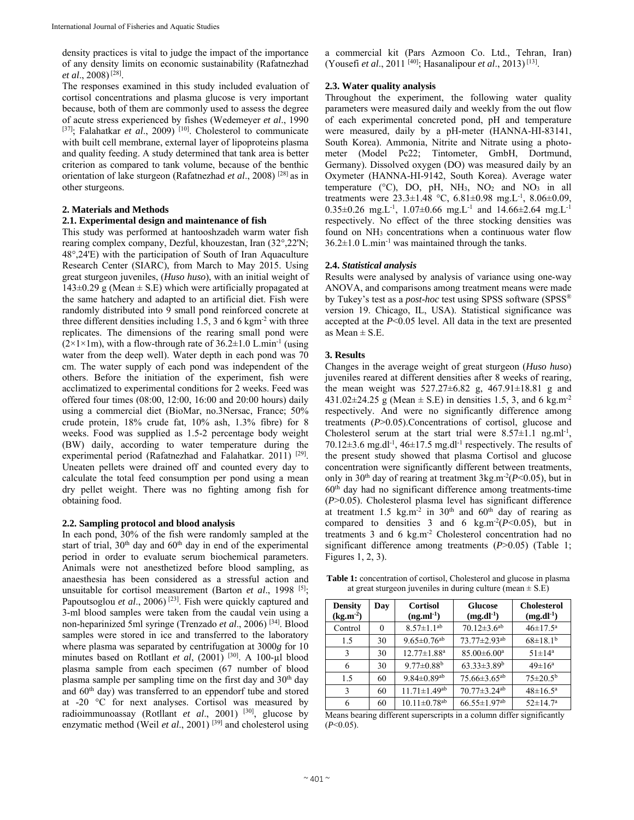density practices is vital to judge the impact of the importance of any density limits on economic sustainability (Rafatnezhad *et al*., 2008) [28].

The responses examined in this study included evaluation of cortisol concentrations and plasma glucose is very important because, both of them are commonly used to assess the degree of acute stress experienced by fishes (Wedemeyer *et al*., 1990 [37]; Falahatkar *et al.*, 2009)<sup>[10]</sup>. Cholesterol to communicate with built cell membrane, external layer of lipoproteins plasma and quality feeding. A study determined that tank area is better criterion as compared to tank volume, because of the benthic orientation of lake sturgeon (Rafatnezhad *et al*., 2008) [28] as in other sturgeons.

# **2. Materials and Methods**

# **2.1. Experimental design and maintenance of fish**

This study was performed at hantooshzadeh warm water fish rearing complex company, Dezful, khouzestan, Iran (32°,22'N; 48°,24'E) with the participation of South of Iran Aquaculture Research Center (SIARC), from March to May 2015. Using great sturgeon juveniles, (*Huso huso*), with an initial weight of  $143\pm0.29$  g (Mean  $\pm$  S.E) which were artificially propagated at the same hatchery and adapted to an artificial diet. Fish were randomly distributed into 9 small pond reinforced concrete at three different densities including 1.5, 3 and 6 kgm-2 with three replicates. The dimensions of the rearing small pond were  $(2\times1\times1$ m), with a flow-through rate of 36.2 $\pm$ 1.0 L.min<sup>-1</sup> (using water from the deep well). Water depth in each pond was 70 cm. The water supply of each pond was independent of the others. Before the initiation of the experiment, fish were acclimatized to experimental conditions for 2 weeks. Feed was offered four times (08:00, 12:00, 16:00 and 20:00 hours) daily using a commercial diet (BioMar, no.3Nersac, France; 50% crude protein, 18% crude fat, 10% ash, 1.3% fibre) for 8 weeks. Food was supplied as 1.5-2 percentage body weight (BW) daily, according to water temperature during the experimental period (Rafatnezhad and Falahatkar. 2011) [29]. Uneaten pellets were drained off and counted every day to calculate the total feed consumption per pond using a mean dry pellet weight. There was no fighting among fish for obtaining food.

## **2.2. Sampling protocol and blood analysis**

In each pond, 30% of the fish were randomly sampled at the start of trial, 30<sup>th</sup> day and 60<sup>th</sup> day in end of the experimental period in order to evaluate serum biochemical parameters. Animals were not anesthetized before blood sampling, as anaesthesia has been considered as a stressful action and unsuitable for cortisol measurement (Barton *et al*., 1998 [5]; Papoutsoglou *et al.*, 2006)<sup>[23]</sup>. Fish were quickly captured and 3-ml blood samples were taken from the caudal vein using a non-heparinized 5ml syringe (Trenzado *et al*., 2006) [34]. Blood samples were stored in ice and transferred to the laboratory where plasma was separated by centrifugation at 3000*g* for 10 minutes based on Rotllant et al, (2001)<sup>[30]</sup>. A 100-ul blood plasma sample from each specimen (67 number of blood plasma sample per sampling time on the first day and  $30<sup>th</sup>$  day and 60th day) was transferred to an eppendorf tube and stored at -20 °C for next analyses. Cortisol was measured by radioimmunoassay (Rotllant *et al*., 2001) [30], glucose by enzymatic method (Weil *et al*., 2001) [39] and cholesterol using a commercial kit (Pars Azmoon Co. Ltd., Tehran, Iran) (Yousefi *et al*., 2011 [40]; Hasanalipour *et al*., 2013) [13].

# **2.3. Water quality analysis**

Throughout the experiment, the following water quality parameters were measured daily and weekly from the out flow of each experimental concreted pond, pH and temperature were measured, daily by a pH-meter (HANNA-HI-83141, South Korea). Ammonia, Nitrite and Nitrate using a photometer (Model Pc22; Tintometer, GmbH, Dortmund, Germany). Dissolved oxygen (DO) was measured daily by an Oxymeter (HANNA-HI-9142, South Korea). Average water temperature ( $^{\circ}$ C), DO, pH, NH<sub>3</sub>, NO<sub>2</sub> and NO<sub>3</sub> in all treatments were  $23.3 \pm 1.48$  °C,  $6.81 \pm 0.98$  mg. L<sup>-1</sup>,  $8.06 \pm 0.09$ , 0.35 $\pm$ 0.26 mg.L<sup>-1</sup>, 1.07 $\pm$ 0.66 mg.L<sup>-1</sup> and 14.66 $\pm$ 2.64 mg.L<sup>-1</sup> respectively. No effect of the three stocking densities was found on NH<sub>3</sub> concentrations when a continuous water flow  $36.2 \pm 1.0$  L.min<sup>-1</sup> was maintained through the tanks.

## **2.4.** *Statistical analysis*

Results were analysed by analysis of variance using one-way ANOVA, and comparisons among treatment means were made by Tukey's test as a *post-hoc* test using SPSS software (SPSS® version 19. Chicago, IL, USA). Statistical significance was accepted at the *P*<0.05 level. All data in the text are presented as Mean  $\pm$  S.E.

# **3. Results**

Changes in the average weight of great sturgeon (*Huso huso*) juveniles reared at different densities after 8 weeks of rearing, the mean weight was  $527.27 \pm 6.82$  g,  $467.91 \pm 18.81$  g and  $431.02 \pm 24.25$  g (Mean  $\pm$  S.E) in densities 1.5, 3, and 6 kg.m<sup>-2</sup> respectively. And were no significantly difference among treatments (*P*>0.05).Concentrations of cortisol, glucose and Cholesterol serum at the start trial were  $8.57 \pm 1.1$  ng.ml<sup>-1</sup>, 70.12 $\pm$ 3.6 mg.dl<sup>-1</sup>, 46 $\pm$ 17.5 mg.dl<sup>-1</sup> respectively. The results of the present study showed that plasma Cortisol and glucose concentration were significantly different between treatments, only in 30<sup>th</sup> day of rearing at treatment  $3\text{kg} \cdot \text{m}^{-2}(P<0.05)$ , but in  $60<sup>th</sup>$  day had no significant difference among treatments-time (*P*>0.05). Cholesterol plasma level has significant difference at treatment 1.5 kg.m<sup>-2</sup> in 30<sup>th</sup> and 60<sup>th</sup> day of rearing as compared to densities 3 and 6 kg.m<sup>-2</sup>( $P$ <0.05), but in treatments 3 and 6 kg.m<sup>-2</sup> Cholesterol concentration had no significant difference among treatments ( $P > 0.05$ ) (Table 1; Figures 1, 2, 3).

**Table 1:** concentration of cortisol, Cholesterol and glucose in plasma at great sturgeon juveniles in during culture (mean  $\pm$  S.E)

| <b>Density</b><br>$(kg.m^{-2})$ | Day | <b>Cortisol</b><br>$(ng.ml^{-1})$ | <b>Glucose</b><br>$(mg.dl^{-1})$ | <b>Cholesterol</b><br>$(mg.dl^{-1})$ |
|---------------------------------|-----|-----------------------------------|----------------------------------|--------------------------------------|
| Control                         | 0   | $8.57 \pm 1.1^{ab}$               | $70.12 \pm 3.6$ <sup>ab</sup>    | $46 \pm 17.5^{\text{a}}$             |
| 1.5                             | 30  | $9.65 \pm 0.76$ <sup>ab</sup>     | $73.77 \pm 2.93$ <sup>ab</sup>   | $68 \pm 18.1^{\rm b}$                |
| 3                               | 30  | $12.77 \pm 1.88$ <sup>a</sup>     | $85.00 \pm 6.00$ <sup>a</sup>    | $51 \pm 14^a$                        |
| 6                               | 30  | $9.77 \pm 0.88$ <sup>b</sup>      | $63.33 \pm 3.89$ <sup>b</sup>    | $49 \pm 16^a$                        |
| 15                              | 60  | $9.84 \pm 0.89$ <sup>ab</sup>     | $75.66 \pm 3.65$ <sup>ab</sup>   | $75 \pm 20.5^{\rm b}$                |
| 3                               | 60  | $11.71 \pm 1.49$ <sup>ab</sup>    | $70.77 \pm 3.24$ <sup>ab</sup>   | $48 \pm 16.5^{\rm a}$                |
| 6                               | 60  | $10.11 \pm 0.78$ <sup>ab</sup>    | $66.55 \pm 1.97$ <sup>ab</sup>   | $52 \pm 14.7^a$                      |

Means bearing different superscripts in a column differ significantly (*P*<0.05).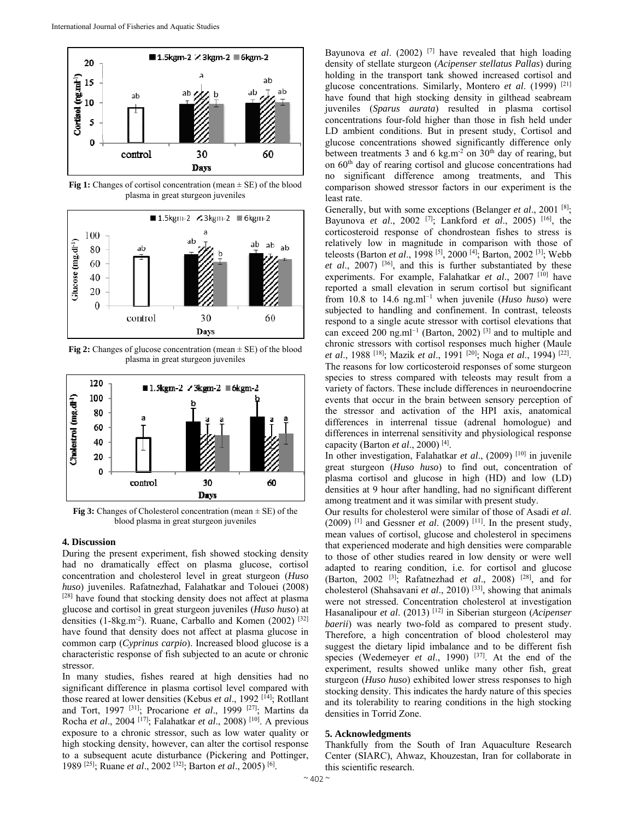

**Fig 1:** Changes of cortisol concentration (mean  $\pm$  SE) of the blood plasma in great sturgeon juveniles



**Fig 2:** Changes of glucose concentration (mean  $\pm$  SE) of the blood plasma in great sturgeon juveniles



**Fig 3:** Changes of Cholesterol concentration (mean ± SE) of the blood plasma in great sturgeon juveniles

## **4. Discussion**

During the present experiment, fish showed stocking density had no dramatically effect on plasma glucose, cortisol concentration and cholesterol level in great sturgeon (*Huso huso*) juveniles. Rafatnezhad, Falahatkar and Tolouei (2008) [28] have found that stocking density does not affect at plasma glucose and cortisol in great sturgeon juveniles (*Huso huso*) at densities (1-8kg.m<sup>-2</sup>). Ruane, Carballo and Komen (2002)  $[32]$ have found that density does not affect at plasma glucose in common carp (*Cyprinus carpio*). Increased blood glucose is a characteristic response of fish subjected to an acute or chronic stressor.

In many studies, fishes reared at high densities had no significant difference in plasma cortisol level compared with those reared at lower densities (Kebus *et al.*, 1992<sup>[14]</sup>; Rotllant and Tort, 1997 [31]; Procarione *et al*., 1999 [27]; Martins da Rocha *et al*., 2004 [17]; Falahatkar *et al*., 2008) [10]. A previous exposure to a chronic stressor, such as low water quality or high stocking density, however, can alter the cortisol response to a subsequent acute disturbance (Pickering and Pottinger, 1989 [25]; Ruane *et al*., 2002 [32]; Barton *et al*., 2005) [6].

Bayunova *et al.* (2002)<sup>[7]</sup> have revealed that high loading density of stellate sturgeon (*Acipenser stellatus Pallas*) during holding in the transport tank showed increased cortisol and glucose concentrations. Similarly, Montero *et al*. (1999) [21] have found that high stocking density in gilthead seabream juveniles (*Sparus aurata*) resulted in plasma cortisol concentrations four-fold higher than those in fish held under LD ambient conditions. But in present study, Cortisol and glucose concentrations showed significantly difference only between treatments 3 and 6 kg.m<sup>-2</sup> on 30<sup>th</sup> day of rearing, but on 60th day of rearing cortisol and glucose concentrations had no significant difference among treatments, and This comparison showed stressor factors in our experiment is the least rate.

Generally, but with some exceptions (Belanger *et al.*, 2001<sup>[8]</sup>; Bayunova *et al*., 2002 [7]; Lankford *et al*., 2005) [16], the corticosteroid response of chondrostean fishes to stress is relatively low in magnitude in comparison with those of teleosts (Barton *et al*., 1998 [5], 2000 [4]; Barton, 2002 [3]; Webb *et al*., 2007) [36], and this is further substantiated by these experiments. For example, Falahatkar *et al*., 2007 [10] have reported a small elevation in serum cortisol but significant from 10.8 to 14.6 ng.ml<sup>−</sup><sup>1</sup> when juvenile (*Huso huso*) were subjected to handling and confinement. In contrast, teleosts respond to a single acute stressor with cortisol elevations that can exceed 200 ng.ml<sup>-1</sup> (Barton, 2002)<sup>[3]</sup> and to multiple and chronic stressors with cortisol responses much higher (Maule *et al*., 1988 [18]; Mazik *et al*., 1991 [20]; Noga *et al*., 1994) [22]. The reasons for low corticosteroid responses of some sturgeon species to stress compared with teleosts may result from a variety of factors. These include differences in neuroendocrine events that occur in the brain between sensory perception of the stressor and activation of the HPI axis, anatomical differences in interrenal tissue (adrenal homologue) and differences in interrenal sensitivity and physiological response capacity (Barton *et al*., 2000) [4].

In other investigation, Falahatkar *et al*., (2009) [10] in juvenile great sturgeon (*Huso huso*) to find out, concentration of plasma cortisol and glucose in high (HD) and low (LD) densities at 9 hour after handling, had no significant different among treatment and it was similar with present study.

Our results for cholesterol were similar of those of Asadi *et al*.  $(2009)$ <sup>[1]</sup> and Gessner *et al.*  $(2009)$ <sup>[11]</sup>. In the present study, mean values of cortisol, glucose and cholesterol in specimens that experienced moderate and high densities were comparable to those of other studies reared in low density or were well adapted to rearing condition, i.e. for cortisol and glucose (Barton, 2002 [3]; Rafatnezhad *et al*., 2008) [28], and for cholesterol (Shahsavani *et al*., 2010) [33], showing that animals were not stressed. Concentration cholesterol at investigation Hasanalipour *et al*. (2013) [12] in Siberian sturgeon (*Acipenser baerii*) was nearly two-fold as compared to present study. Therefore, a high concentration of blood cholesterol may suggest the dietary lipid imbalance and to be different fish species (Wedemeyer *et al.*, 1990) <sup>[37]</sup>. At the end of the experiment, results showed unlike many other fish, great sturgeon (*Huso huso*) exhibited lower stress responses to high stocking density. This indicates the hardy nature of this species and its tolerability to rearing conditions in the high stocking densities in Torrid Zone.

## **5. Acknowledgments**

Thankfully from the South of Iran Aquaculture Research Center (SIARC), Ahwaz, Khouzestan, Iran for collaborate in this scientific research.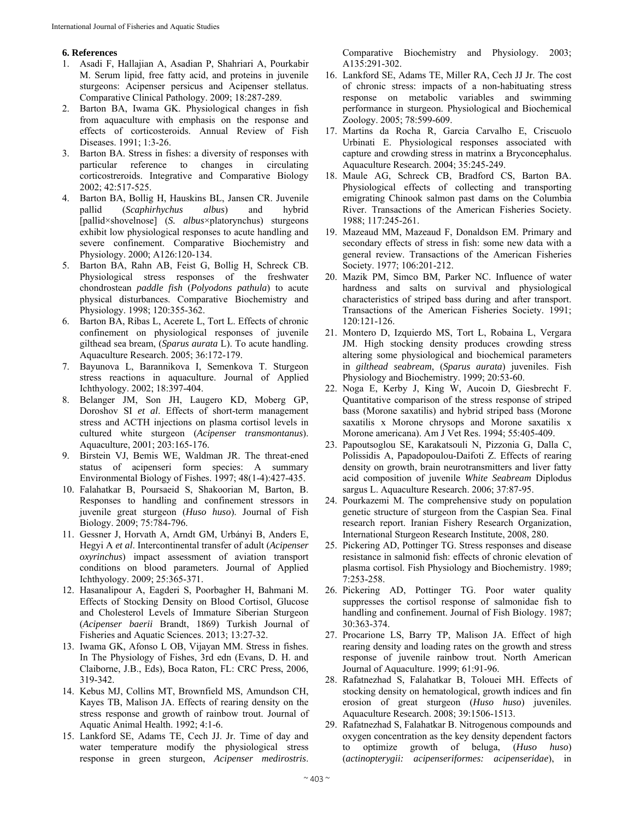# **6. References**

- 1. Asadi F, Hallajian A, Asadian P, Shahriari A, Pourkabir M. Serum lipid, free fatty acid, and proteins in juvenile sturgeons: Acipenser persicus and Acipenser stellatus. Comparative Clinical Pathology. 2009; 18:287-289.
- 2. Barton BA, Iwama GK. Physiological changes in fish from aquaculture with emphasis on the response and effects of corticosteroids. Annual Review of Fish Diseases. 1991; 1:3-26.
- 3. Barton BA. Stress in fishes: a diversity of responses with particular reference to changes in circulating corticostreroids. Integrative and Comparative Biology 2002; 42:517-525.
- 4. Barton BA, Bollig H, Hauskins BL, Jansen CR. Juvenile pallid (*Scaphirhychus albus*) and hybrid [pallid×shovelnose] (*S. albus*×platorynchus) sturgeons exhibit low physiological responses to acute handling and severe confinement. Comparative Biochemistry and Physiology. 2000; A126:120-134.
- 5. Barton BA, Rahn AB, Feist G, Bollig H, Schreck CB. Physiological stress responses of the freshwater chondrostean *paddle fish* (*Polyodons pathula*) to acute physical disturbances. Comparative Biochemistry and Physiology. 1998; 120:355-362.
- 6. Barton BA, Ribas L, Acerete L, Tort L. Effects of chronic confinement on physiological responses of juvenile gilthead sea bream, (*Sparus aurata* L). To acute handling. Aquaculture Research. 2005; 36:172-179.
- 7. Bayunova L, Barannikova I, Semenkova T. Sturgeon stress reactions in aquaculture. Journal of Applied Ichthyology. 2002; 18:397-404.
- 8. Belanger JM, Son JH, Laugero KD, Moberg GP, Doroshov SI *et al*. Effects of short-term management stress and ACTH injections on plasma cortisol levels in cultured white sturgeon (*Acipenser transmontanus*). Aquaculture, 2001; 203:165-176.
- 9. Birstein VJ, Bemis WE, Waldman JR. The threat-ened status of acipenseri form species: A summary Environmental Biology of Fishes. 1997; 48(1-4):427-435.
- 10. Falahatkar B, Poursaeid S, Shakoorian M, Barton, B. Responses to handling and confinement stressors in juvenile great sturgeon (*Huso huso*). Journal of Fish Biology. 2009; 75:784-796.
- 11. Gessner J, Horvath A, Arndt GM, Urbányi B, Anders E, Hegyi A *et al*. Intercontinental transfer of adult (*Acipenser oxyrinchus*) impact assessment of aviation transport conditions on blood parameters. Journal of Applied Ichthyology. 2009; 25:365-371.
- 12. Hasanalipour A, Eagderi S, Poorbagher H, Bahmani M. Effects of Stocking Density on Blood Cortisol, Glucose and Cholesterol Levels of Immature Siberian Sturgeon (*Acipenser baerii* Brandt, 1869) Turkish Journal of Fisheries and Aquatic Sciences. 2013; 13:27-32.
- 13. Iwama GK, Afonso L OB, Vijayan MM. Stress in fishes. In The Physiology of Fishes, 3rd edn (Evans, D. H. and Claiborne, J.B., Eds), Boca Raton, FL: CRC Press, 2006, 319-342.
- 14. Kebus MJ, Collins MT, Brownfield MS, Amundson CH, Kayes TB, Malison JA. Effects of rearing density on the stress response and growth of rainbow trout. Journal of Aquatic Animal Health. 1992; 4:1-6.
- 15. Lankford SE, Adams TE, Cech JJ. Jr. Time of day and water temperature modify the physiological stress response in green sturgeon, *Acipenser medirostris*.

Comparative Biochemistry and Physiology. 2003; A135:291-302.

- 16. Lankford SE, Adams TE, Miller RA, Cech JJ Jr. The cost of chronic stress: impacts of a non-habituating stress response on metabolic variables and swimming performance in sturgeon. Physiological and Biochemical Zoology. 2005; 78:599-609.
- 17. Martins da Rocha R, Garcia Carvalho E, Criscuolo Urbinati E. Physiological responses associated with capture and crowding stress in matrinx a Bryconcephalus. Aquaculture Research. 2004; 35:245-249.
- 18. Maule AG, Schreck CB, Bradford CS, Barton BA. Physiological effects of collecting and transporting emigrating Chinook salmon past dams on the Columbia River. Transactions of the American Fisheries Society. 1988; 117:245-261.
- 19. Mazeaud MM, Mazeaud F, Donaldson EM. Primary and secondary effects of stress in fish: some new data with a general review. Transactions of the American Fisheries Society. 1977; 106:201-212.
- 20. Mazik PM, Simco BM, Parker NC. Influence of water hardness and salts on survival and physiological characteristics of striped bass during and after transport. Transactions of the American Fisheries Society. 1991; 120:121-126.
- 21. Montero D, Izquierdo MS, Tort L, Robaina L, Vergara JM. High stocking density produces crowding stress altering some physiological and biochemical parameters in *gilthead seabream*, (*Sparus aurata*) juveniles. Fish Physiology and Biochemistry. 1999; 20:53-60.
- 22. Noga E, Kerby J, King W, Aucoin D, Giesbrecht F. Quantitative comparison of the stress response of striped bass (Morone saxatilis) and hybrid striped bass (Morone saxatilis x Morone chrysops and Morone saxatilis x Morone americana). Am J Vet Res. 1994; 55:405-409.
- 23. Papoutsoglou SE, Karakatsouli N, Pizzonia G, Dalla C, Polissidis A, Papadopoulou-Daifoti Z. Effects of rearing density on growth, brain neurotransmitters and liver fatty acid composition of juvenile *White Seabream* Diplodus sargus L. Aquaculture Research. 2006; 37:87-95.
- 24. Pourkazemi M. The comprehensive study on population genetic structure of sturgeon from the Caspian Sea. Final research report. Iranian Fishery Research Organization, International Sturgeon Research Institute, 2008, 280.
- 25. Pickering AD, Pottinger TG. Stress responses and disease resistance in salmonid fish: effects of chronic elevation of plasma cortisol. Fish Physiology and Biochemistry. 1989; 7:253-258.
- 26. Pickering AD, Pottinger TG. Poor water quality suppresses the cortisol response of salmonidae fish to handling and confinement. Journal of Fish Biology. 1987; 30:363-374.
- 27. Procarione LS, Barry TP, Malison JA. Effect of high rearing density and loading rates on the growth and stress response of juvenile rainbow trout. North American Journal of Aquaculture. 1999; 61:91-96.
- 28. Rafatnezhad S, Falahatkar B, Tolouei MH. Effects of stocking density on hematological, growth indices and fin erosion of great sturgeon (*Huso huso*) juveniles. Aquaculture Research. 2008; 39:1506-1513.
- 29. Rafatnezhad S, Falahatkar B. Nitrogenous compounds and oxygen concentration as the key density dependent factors to optimize growth of beluga, (*Huso huso*) (*actinopterygii: acipenseriformes: acipenseridae*), in